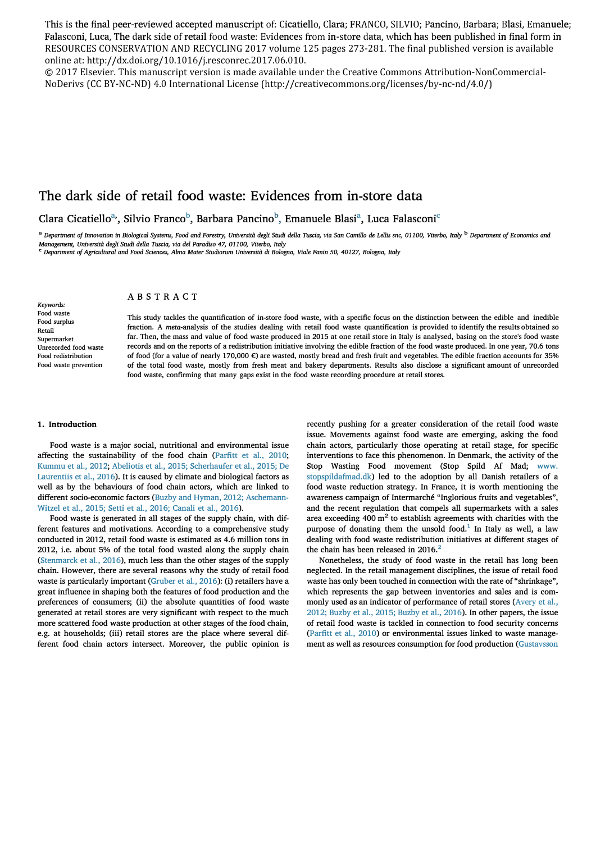This is the final peer-reviewed accepted manuscript of: Cicatiello, Clara; FRANCO, SILVIO; Pancino, Barbara; Blasi, Emanuele; Falasconi, Luca, The dark side of retail food waste: Evidences from in-store data, which has been published in final form in RESOURCES CONSERVATION AND RECYCLING 2017 volume 125 pages 273-281. The final published version is available online at: [http://dx.doi.org/10.1016/j.resconrec.2017.06.010.](http://dx.doi.org/10.1016/j.resconrec.2017.06.010)

© 2017 Elsevier. This manuscript version is made available under the Creative Commons Attribution-NonCommercial-NoDerivs (CC BY-NC-ND) 4.0 International License (<http://creativecommons.org/licenses/by-nc-nd/4.0/>)

# The dark side of retail food waste: Evidences from in-store data

Clara Cicatiello<sup>a,</sup>, Silvio Franco<sup>b</sup>, Barbara Pancino<sup>b</sup>, Emanuele Blasi<sup>a</sup>, Luca Falasconi<sup>c</sup>

a Department of Innovation in Biological Systems, Food and Forestry, Università degli Studi della Tuscia, via San Camillo de Lellis snc, 01100, Viterbo, Italy <sup>b</sup> Department of Economics and *Managemern; Università* **degli Snidi** *della* **Tuscia,** *via del Paradiso 4 7, O 1100, Viterbo, Italy* 

*e Department of Agriculrural and Food Sciences, Abna Mater Studiorum Università di Bologna, Viale Fanin 50, 40127, Bologna, Italy* 

*Keywords:*  **Food waste Food surplus Retail Supermarket Unrecorded food waste Food redistribution Food waste prevention** 

# **ABSTRACT**

**This study tackles the quantification of in-store food waste, with a specific focus on the distinction between the edible and inedible**  fraction. A meta-analysis of the studies dealing with retail food waste quantification is provided to identify the results obtained so **far. Then, the mass and value of food waste produced in 2015 at one retail store in Italy is analysed, basing on the store's food waste records and on the reports of a redistribution initiative involving the edible fraction of the food waste produced. In one year, 70.6 tons of food (for a value of nearly 170,000 €) are wasted, mostly bread and fresh fruit and vegetables. The edible fraction accounts for 35%**  of the total food waste, mostly from fresh meat and bakery departments. Results also disclose a significant amount of unrecorded **food waste, confirming that many gaps exist in the food waste recording procedure at retail stores.** 

## **1. Introduction**

Food waste is a major social, nutritional and environmental issue affecting the sustainability of the food chain (Parfitt et al., 2010; Kummu et al., 2012; Abeliotis et al., 2015; Scherhaufer et al., 2015; De Laurentiis et al., 2016). It is caused by climate and biological factors as well as by the behaviours of food chain actors, which are linked to different socio-economic factors (Buzby and Hyman, 2012; Aschemann-Witzel et al., 2015; Setti et al., 2016; Canali et al., 2016).

Food waste is generated in ali stages of the supply chain, with different features and motivations. According to a comprehensive study conducted in 2012, retail food waste is estimated as 4.6 million tons in 2012, i.e. about 5% of the total food wasted along the supply chain (Stenmarck et al., 2016), much less than the other stages of the supply chain. However, there are several reasons why the study of retail food waste is particularly important (Gruber et al., 2016): (i) retailers have a great influence in shaping both the features of food production and the preferences of consumers; (ii) the absolute quantities of food waste generated at retail stores are very significant with respect to the much more scattered food waste production at other stages of the food chain, e.g. at households; (iii) retail stores are the place where several different food chain actors intersect. Moreover, the public opinion is recently pushing for a greater consideration of the retail food waste issue. Movements against food waste are emerging, asking the food chain actors, particularly those operating at retail stage, for specific interventions to face this phenomenon. In Denmark, the activity of the Stop Wasting Food movement (Stop Spild Af Mad; www. stopspildafmad.dk) led to the adoption by ali Danish retailers of a food waste reduction strategy. In France, it is worth mentioning the awareness campaign of Intermarché "Inglorious fruits and vegetables", and the recent regulation that compels ali supermarkets with a sales area exceeding  $400 \text{ m}^2$  to establish agreements with charities with the purpose of donating them the unsold food.<sup>1</sup> In Italy as well, a law dealing with food waste redistribution initiatives at different stages of the chain has been released in  $2016.<sup>2</sup>$ 

Nonetheless, the study of food waste in the retail has long been neglected. In the retail management disciplines, the issue of retail food waste has only been touched in connection with the rate of "shrinkage", which represents the gap between inventories and sales and is commonly used as an indicator of performance of retail stores (Avery et al., 2012; Buzby et al., 2015; Buzby et al., 2016). In other papers, the issue of retail food waste is tackled in connection to food security concerns (Parfitt et al., 2010) or environmental issues linked to waste management as well as resources consumption for food production (Gustavsson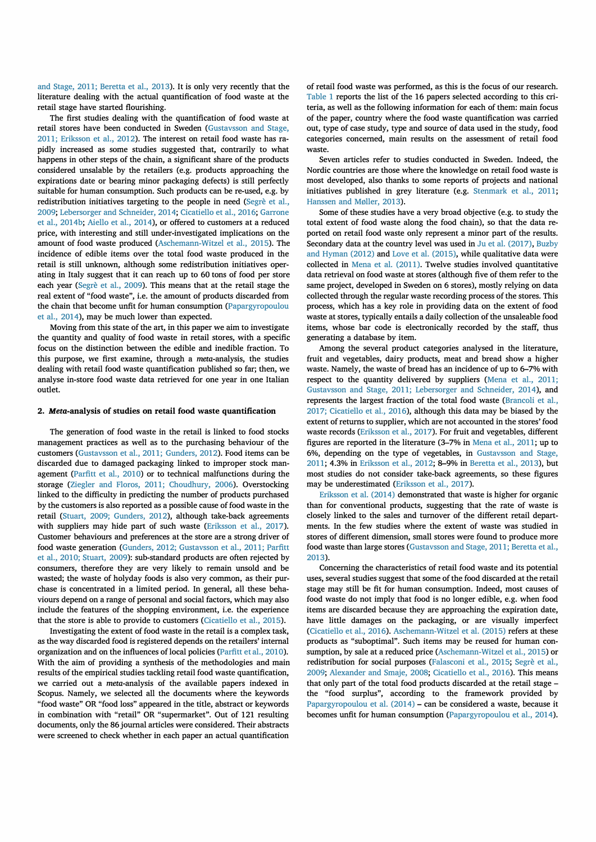and Stage, 2011; Beretta et al., 2013). It is only very recently that the literature dealing with the actual quantification of food waste at the retail stage have started flourishing.

The first studies dealing with the quantification of food waste at retail stores have been conducted in Sweden (Gustavsson and Stage, 2011; Eriksson et al., 2012). The interest on retail food waste has rapidly increased as some studies suggested that, contrarily to what happens in other steps of the chain, a significant share of the products considered unsalable by the retailers (e.g. products approaching the expirations date or bearing minor packaging defects) is stili perfectly suitable for human consumption. Such products can be re-used, e.g. by redistribution initiatives targeting to the people in need (Segrè et al., 2009; Lebersorger and Schneider, 2014; Cicatiello et al., 2016; Garrone et al., 2014b; Aiello et al., 2014), or offered to customers at a reduced price, with interesting and stili under-investigated implications on the amount of food waste produced (Aschemann-Witzel et al., 2015). The incidence of edible items over the total food waste produced in the retail is stili unknown, although some redistribution initiatives operating in Italy suggest that it can reach up to 60 tons of food per store each year (Segrè et al., 2009). This means that at the retail stage the real extent of "food waste", i.e. the amount of products discarded from the chain that become unfit for human consumption (Papargyropoulou et al., 2014), may be much lower than expected.

Moving from this state of the art, in this paper we aim to investigate the quantity and quality of food waste in retail stores, with a specific focus on the distinction between the edible and inedible fraction. To this purpose, we first examine, through a meta-analysis, the studies dealing with retail food waste quantification published so far; then, we analyse in-store food waste data retrieved for one year in one Italian outlet.

### **2. Meta-analysis of studies on retail food waste quantification**

The generation of food waste in the retail is linked to food stocks management practices as well as to the purchasing behaviour of the customers (Gustavsson et al., 2011; Gunders, 2012). Food items can be discarded due to damaged packaging linked to improper stock management (Parfitt et al., 2010) or to technical malfunctions during the storage (Ziegler and Floros, 2011; Choudhury, 2006). Overstocking linked to the difficulty in predicting the number of products purchased by the customers is also reported as a possible cause of food waste in the retail (Stuart, 2009; Gunders, 2012), although take-back agreements with suppliers may hide part of such waste (Eriksson et al., 2017). Customer behaviours and preferences at the store are a strong driver of food waste generation (Gunders, 2012; Gustavsson et al., 2011; Parfitt et al., 2010; Stuart, 2009): sub-standard products are often rejected by consumers, therefore they are very likely to remain unsold and be wasted; the waste of holyday foods is also very common, as their purchase is concentrated in a limited period. In generai, ali these behaviours depend on a range of personal and social factors, which may also include the features of the shopping environment, i.e. the experience that the store is able to provide to customers (Cicatiello et al., 2015).

Investigating the extent of food waste in the retail is a complex task, as the way discarded food is registered depends on the retailers' internal organization and on the influences of local policies (Parfitt et al., 2010). With the aim of providing a synthesis of the methodologies and main results of the empirical studies tackling retail food waste quantification, we carried out a meta-analysis of the available papers indexed in Scopus. Namely, we selected ali the documents where the keywords "food waste" OR "food loss" appeared in the title, abstract or keywords in combination with "retail" OR "supermarket". Out of 121 resulting documents, only the 86 journal articles were considered. Their abstracts were screened to check whether in each paper an actual quantification

of retail food waste was performed, as this is the focus of our research. Table 1 reports the list of the 16 papers selected according to this criteria, as well as the following information for each of them: main focus of the paper, country where the food waste quantification was carried out, type of case study, type and source of data used in the study, food categories concerned, main results on the assessment of retail food waste.

Seven articles refer to studies conducted in Sweden. Indeed, the Nordic countries are those where the knowledge on retail food waste is most developed, also thanks to some reports of projects and national initiatives published in grey literature (e.g. Stenmark et al., 2011; Hanssen and Møller, 2013).

Some of these studies have a very broad objective (e.g. to study the total extent of food waste along the food chain), so that the data reported on retail food waste only represent a minor part of the results. Secondary data at the country level was used in Ju et al. (2017), Buzby and Hyman (2012) and Love et al. (2015), while qualitative data were collected in Mena et al. (2011). Twelve studies involved quantitative data retrieval on food waste at stores (although five of them refer to the same project, developed in Sweden on 6 stores), mostly relying on data collected through the regular waste recording process of the stores. This process, which has a key role in providing data on the extent of food waste at stores, typically entails a daily collection of the unsaleable food items, whose bar code is electronically recorded by the staff, thus generating a database by item.

Among the several product categories analysed in the literature, fruit and vegetables, dairy products, meat and bread show a higher waste. Namely, the waste of bread has an incidence of up to 6-7% with respect to the quantity delivered by suppliers (Mena et al., 2011; Gustavsson and Stage, 2011; Lebersorger and Schneider, 2014), and represents the largest fraction of the total food waste (Brancoli et al., 2017; Cicatiello et al., 2016), although this data may be biased by the extent of returns to supplier, which are not accounted in the stores' food waste records (Eriksson et al., 2017). For fruit and vegetables, different figures are reported in the literature (3-7% in Mena et al., 2011; up to 6%, depending on the type of vegetables, in Gustavsson and Stage, 2011; 4.3% in Eriksson et al., 2012; 8--9% in Beretta et al., 2013), but most studies do not consider take-back agreements, so these figures may be underestimated (Eriksson et al., 2017).

Eriksson et al. (2014) demonstrated that waste is higher for organic than for conventional products, suggesting that the rate of waste is closely linked to the sales and turnover of the different retail departments. In the few studies where the extent of waste was studied in stores of different dimension, small stores were found to produce more food waste than large stores (Gustavsson and Stage, 2011; Beretta et al., 2013).

Concerning the characteristics of retail food waste and its potential uses, several studies suggest that some of the food discarded at the retail stage may stili be fit for human consumption. Indeed, most causes of food waste do not imply that food is no longer edible, e.g. when food items are discarded because they are approaching the expiration date, have little damages on the packaging, or are visually imperfect (Cicatiello et al., 2016). Aschemann-Witzel et al. (2015) refers at these products as "suboptimal". Such items may be reused for human consumption, by sale at a reduced price (Aschemann-Witzel et al., 2015) or redistribution for social purposes (Falasconi et al., 2015; Segrè et al., 2009; Alexander and Smaje, 2008; Cicatiello et al., 2016). This means that only part of the total food products discarded at the retail stage the "food surplus", according to the framework provided by Papargyropoulou et al. (2014) - can be considered a waste, because it becomes unfit for human consumption (Papargyropoulou et al., 2014).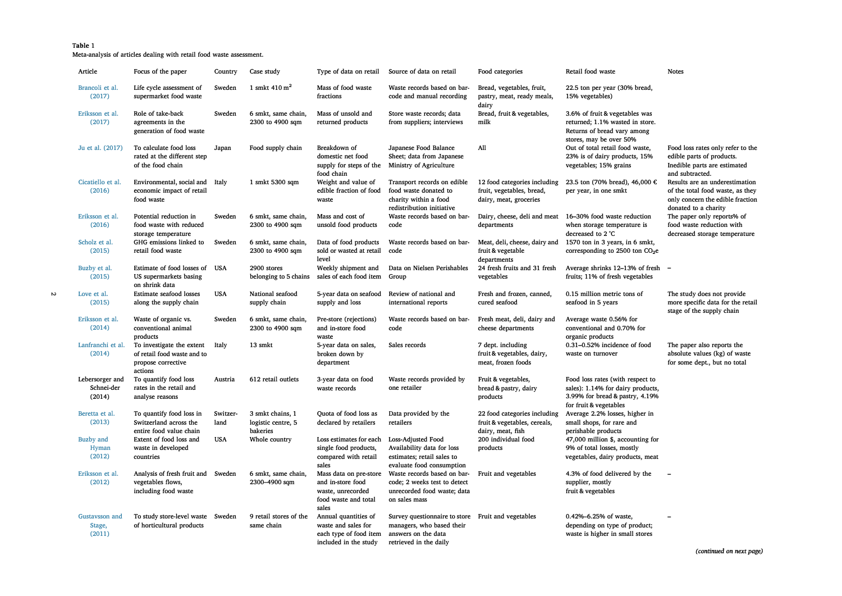### **Table 1**

**Meta-analysis of articles dealing with retail food waste assessment.** 

| Article                                 | Focus of the paper                                                                        | Country          | Case study                                         |                                                                                                   | Type of data on retail Source of data on retail                                                                                  | Food categories                                                                     | Retail food waste                                                                                                                  | <b>Notes</b>                                                                                                                   |
|-----------------------------------------|-------------------------------------------------------------------------------------------|------------------|----------------------------------------------------|---------------------------------------------------------------------------------------------------|----------------------------------------------------------------------------------------------------------------------------------|-------------------------------------------------------------------------------------|------------------------------------------------------------------------------------------------------------------------------------|--------------------------------------------------------------------------------------------------------------------------------|
| Brancoli et al.<br>(2017)               | Life cycle assessment of<br>supermarket food waste                                        | Sweden           | 1 smkt $410 \text{ m}^2$                           | Mass of food waste<br>fractions                                                                   | Waste records based on bar-<br>code and manual recording                                                                         | Bread, vegetables, fruit,<br>pastry, meat, ready meals,<br>dairy                    | 22.5 ton per year (30% bread,<br>15% vegetables)                                                                                   |                                                                                                                                |
| Eriksson et al.<br>(2017)               | Role of take-back<br>agreements in the<br>generation of food waste                        | Sweden           | 6 smkt, same chain,<br>2300 to 4900 sqm            | Mass of unsold and<br>returned products                                                           | Store waste records; data<br>from suppliers; interviews                                                                          | Bread, fruit & vegetables,<br>milk                                                  | 3.6% of fruit & vegetables was<br>returned; 1.1% wasted in store.<br>Returns of bread vary among<br>stores, may be over 50%        |                                                                                                                                |
| Ju et al. (2017)                        | To calculate food loss<br>rated at the different step<br>of the food chain                | Japan            | Food supply chain                                  | Breakdown of<br>domestic net food<br>supply for steps of the<br>food chain                        | Japanese Food Balance<br>Sheet; data from Japanese<br>Ministry of Agriculture                                                    | All                                                                                 | Out of total retail food waste,<br>23% is of dairy products, 15%<br>vegetables; 15% grains                                         | Food loss rates only refer to the<br>edible parts of products.<br>Inedible parts are estimated<br>and subtracted.              |
| Cicatiello et al.<br>(2016)             | Environmental, social and<br>economic impact of retail<br>food waste                      | Italy            | 1 smkt 5300 sqm                                    | Weight and value of<br>edible fraction of food<br>waste                                           | Transport records on edible<br>food waste donated to<br>charity within a food<br>redistribution initiative                       | 12 food categories including<br>fruit, vegetables, bread,<br>dairy, meat, groceries | 23.5 ton (70% bread), 46,000 €<br>per year, in one smkt                                                                            | Results are an underestimation<br>of the total food waste, as they<br>only concern the edible fraction<br>donated to a charity |
| Eriksson et al.<br>(2016)               | Potential reduction in<br>food waste with reduced<br>storage temperature                  | Sweden           | 6 smkt, same chain,<br>2300 to 4900 sqm            | Mass and cost of<br>unsold food products                                                          | Waste records based on bar-<br>code                                                                                              | departments                                                                         | Dairy, cheese, deli and meat 16-30% food waste reduction<br>when storage temperature is<br>decreased to 2 °C                       | The paper only reports% of<br>food waste reduction with<br>decreased storage temperature                                       |
| Scholz et al.<br>(2015)                 | GHG emissions linked to<br>retail food waste                                              | Sweden           | 6 smkt, same chain,<br>2300 to 4900 sqm            | Data of food products<br>sold or wasted at retail<br>level                                        | Waste records based on bar-<br>code                                                                                              | Meat, deli, cheese, dairy and<br>fruit & vegetable<br>departments                   | 1570 ton in 3 years, in 6 smkt,<br>corresponding to 2500 ton CO <sub>2</sub> e                                                     |                                                                                                                                |
| Buzby et al.<br>(2015)                  | Estimate of food losses of<br>US supermarkets basing<br>on shrink data                    | USA              | 2900 stores<br>belonging to 5 chains               | Weekly shipment and<br>sales of each food item                                                    | Data on Nielsen Perishables<br>Group                                                                                             | 24 fresh fruits and 31 fresh<br>vegetables                                          | Average shrinks 12–13% of fresh –<br>fruits; 11% of fresh vegetables                                                               |                                                                                                                                |
| Love et al.<br>(2015)                   | <b>Estimate seafood losses</b><br>along the supply chain                                  | <b>USA</b>       | National seafood<br>supply chain                   | 5-year data on seafood<br>supply and loss                                                         | Review of national and<br>international reports                                                                                  | Fresh and frozen, canned,<br>cured seafood                                          | 0.15 million metric tons of<br>seafood in 5 years                                                                                  | The study does not provide<br>more specific data for the retail<br>stage of the supply chain                                   |
| Eriksson et al.<br>(2014)               | Waste of organic vs.<br>conventional animal<br>products                                   | Sweden           | 6 smkt, same chain,<br>2300 to 4900 sqm            | Pre-store (rejections)<br>and in-store food<br>waste                                              | Waste records based on bar-<br>code                                                                                              | Fresh meat, deli, dairy and<br>cheese departments                                   | Average waste 0.56% for<br>conventional and 0.70% for<br>organic products                                                          |                                                                                                                                |
| Lanfranchi et al.<br>(2014)             | To investigate the extent<br>of retail food waste and to<br>propose corrective<br>actions | Italy            | 13 smkt                                            | 5-year data on sales,<br>broken down by<br>department                                             | Sales records                                                                                                                    | 7 dept. including<br>fruit & vegetables, dairy,<br>meat, frozen foods               | 0.31-0.52% incidence of food<br>waste on turnover                                                                                  | The paper also reports the<br>absolute values (kg) of waste<br>for some dept., but no total                                    |
| Lebersorger and<br>Schnei-der<br>(2014) | To quantify food loss<br>rates in the retail and<br>analyse reasons                       | Austria          | 612 retail outlets                                 | 3-year data on food<br>waste records                                                              | Waste records provided by<br>one retailer                                                                                        | Fruit & vegetables,<br>bread & pastry, dairy<br>products                            | Food loss rates (with respect to<br>sales): 1.14% for dairy products,<br>3.99% for bread & pastry, 4.19%<br>for fruit & vegetables |                                                                                                                                |
| Beretta et al.<br>(2013)                | To quantify food loss in<br>Switzerland across the<br>entire food value chain             | Switzer-<br>land | 3 smkt chains, 1<br>logistic centre, 5<br>bakeries | Quota of food loss as<br>declared by retailers                                                    | Data provided by the<br>retailers                                                                                                | 22 food categories including<br>fruit & vegetables, cereals,<br>dairy, meat, fish   | Average 2.2% losses, higher in<br>small shops, for rare and<br>perishable products                                                 |                                                                                                                                |
| <b>Buzby</b> and<br>Hyman<br>(2012)     | Extent of food loss and<br>waste in developed<br>countries                                | <b>USA</b>       | Whole country                                      | Loss estimates for each<br>single food products,<br>compared with retail<br>sales                 | Loss-Adjusted Food<br>Availability data for loss<br>estimates; retail sales to<br>evaluate food consumption                      | 200 individual food<br>products                                                     | 47,000 million \$, accounting for<br>9% of total losses, mostly<br>vegetables, dairy products, meat                                |                                                                                                                                |
| Eriksson et al.<br>(2012)               | Analysis of fresh fruit and Sweden<br>vegetables flows,<br>including food waste           |                  | 6 smkt, same chain,<br>2300-4900 sqm               | Mass data on pre-store<br>and in-store food<br>waste, unrecorded<br>food waste and total<br>sales | Waste records based on bar-<br>code; 2 weeks test to detect<br>unrecorded food waste; data<br>on sales mass                      | Fruit and vegetables                                                                | 4.3% of food delivered by the<br>supplier, mostly<br>fruit & vegetables                                                            |                                                                                                                                |
| Gustavsson and<br>Stage,<br>(2011)      | To study store-level waste Sweden<br>of horticultural products                            |                  | 9 retail stores of the<br>same chain               | Annual quantities of<br>waste and sales for<br>each type of food item<br>included in the study    | Survey questionnaire to store Fruit and vegetables<br>managers, who based their<br>answers on the data<br>retrieved in the daily |                                                                                     | 0.42%-6.25% of waste,<br>depending on type of product;<br>waste is higher in small stores                                          |                                                                                                                                |

*(continued on next page)*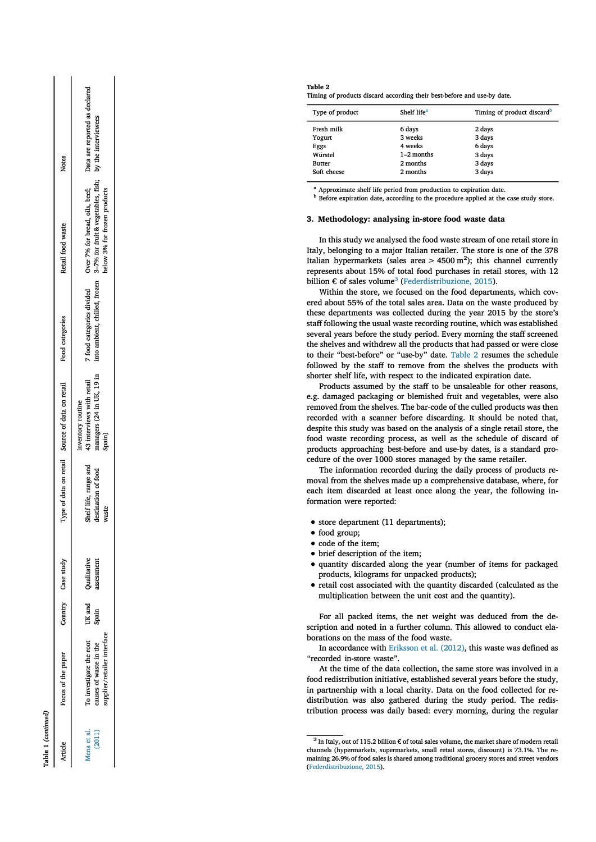| vrticle               | Focus of the paper                                                              | Country         | Case study               |                                                       | Type of data on retail Source of data on retail                                       | Food categories           | Retail food waste                                                                                                                                      | <b>Notes</b>                  |
|-----------------------|---------------------------------------------------------------------------------|-----------------|--------------------------|-------------------------------------------------------|---------------------------------------------------------------------------------------|---------------------------|--------------------------------------------------------------------------------------------------------------------------------------------------------|-------------------------------|
| (2011)<br>lena et al. | rupplier/retailer interface<br>To investigate the root<br>tuses of waste in the | UK and<br>Spain | Jualitative<br>ssessment | Shelf life, range and<br>destination of food<br>waste | managers (24 in UK, 19 in<br>43 interviews with retail<br>inventory routine<br>Spain) | 7 food categories divided | into ambient, chilled, frozen 3-7% for fruit & vegetables, fish; by the interviewees<br>Over 7% for bread, oils, beef;<br>oelow 3% for frozen products | Data are reported as declared |

able 1 (continued)

**Table 2 Timing of products discard according their best-before and use-by date.** 

| Type of product | Shelf life <sup>a</sup> | Timing of product discard <sup>b</sup> |
|-----------------|-------------------------|----------------------------------------|
| Fresh milk      | 6 days                  | 2 days                                 |
| Yogurt          | 3 weeks                 | 3 days                                 |
| Eggs            | 4 weeks                 | 6 days                                 |
| Würstel         | $1-2$ months            | 3 days                                 |
| <b>Butter</b>   | 2 months                | 3 days                                 |
| Soft cheese     | 2 months                | 3 days                                 |

**• Approximate shelf !ife period from production to expiration date.** 

**b** Before expiration date, according to the procedure applied at the case study store.

### **3. Methodology: analysing in-store food waste data**

In this study we analysed the food waste stream of one retail store in Italy, belonging to a major Italian retailer. The store is one of the 378 Italian hypermarkets (sales area  $> 4500 \text{ m}^2$ ); this channel currently represents about 15% of total food purchases in retail stores, with 12 billion  $\epsilon$  of sales volume<sup>3</sup> (Federdistribuzione, 2015).

Within the store, we focused on the food departments, which covered about 55% of the total sales area. Data on the waste produced by these departments was collected during the year 2015 by the store's staff following the usual waste recording routine, which was established several years before the study period. Every morning the staff screened the shelves and withdrew ali the products that had passed or were dose to their "best-before" or "use-by" date. Table 2 resumes the schedule followed by the staff to remove from the shelves the products with shorter shelf life, with respect to the indicated expiration date.

Products assumed by the staff to be unsaleable for other reasons, e.g. damaged packaging or blemished fruit and vegetables, were also removed from the shelves. The bar-code of the culled products was then recorded with a scanner before discarding. It should be noted that, despite this study was based on the analysis of a single retail store, the food waste recording process, as well as the schedule of discard of products approaching best-before and use-by dates, is a standard procedure of the over 1000 stores managed by the same retailer.

The information recorded during the daily process of products removal from the shelves made up a comprehensive database, where, for each item discarded at least once along the year, the following information were reported:

- store department (11 departments);
- food group;
- code of the item;
- brief description of the item;
- quantity discarded along the year (number of items for packaged products, kilograms for unpacked products);
- retail cost associated with the quantity discarded (calculated as the multiplication between the unit cost and the quantity).

For ali packed items, the net weight was deduced from the description and noted in a further column. This allowed to conduct elaborations on the mass of the food waste.

In accordance with Eriksson et al. (2012), this waste was defined as "recorded in-store waste".

At the time of the data collection, the same store was involved in a food redistribution initiative, established several years before the study, in partnership with a locai charity. Data on the food collected for redistribution was also gathered during the study period. The redistribution process was daily based: every morning, during the regular

**<sup>3</sup> In ltaly, out of 115.2 billion € of tota! sales volume, the market share of modem retail channels (hypermarkets, supermarkets, small retail stores, discount) is 73.1** %. **The remaining 26.** 9% **of food sales is shared among traditional grocery stores and street vendors (Federdistribuzione, 2015).**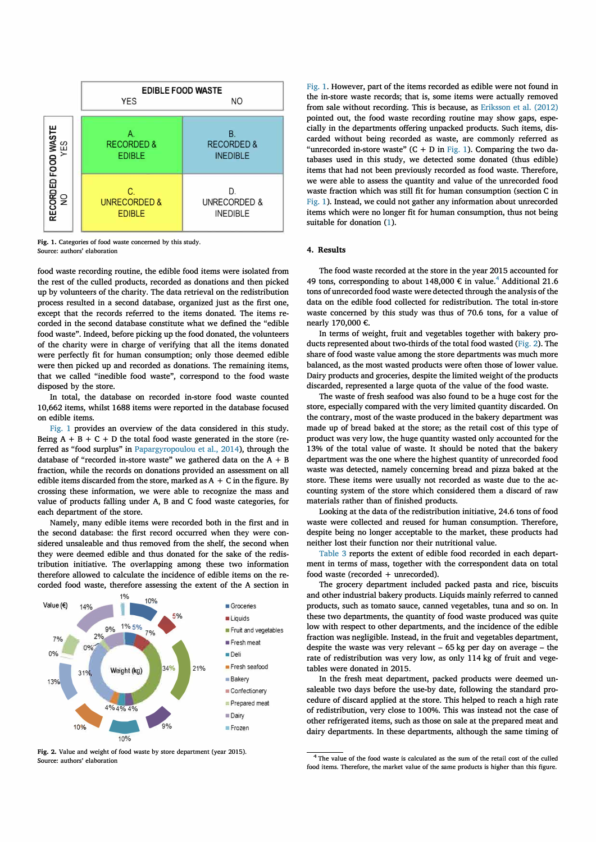

Fig. 1. Categories of food waste concerned by this study. **Source: authors' elaboration** 

**food waste recording routine, the edible food items were isolated from the rest of the culled products, recorded as donations and then picked**  up by volunteers of the charity. The data retrieval on the redistribution **process resulted in a second database, organized just as the first one, except that the records referred to the items donated. The items recorded in the second database constitute what we defined the "edible food waste". Indeed, before picking up the food donated, the volunteers of the charity were in charge of verifying that ali the items donated were perfectly fit for human consumption; only those deemed edible were then picked up and recorded as donations. The remaining items, that we called "inedible food waste", correspond to the food waste disposed by the store.** 

**In tota!, the database on recorded in-store food waste counted 10,662 items, whilst 1688 items were reported in the database focused on edible items.** 

**Fig. 1 provides an overview of the data considered in this study.**  Being  $A + B + C + D$  the total food waste generated in the store (re**ferred as "food surplus" in Papargyropoulou et al., 2014), through the**  database of "recorded in-store waste" we gathered data on the  $A + B$ **fraction, while the records on donations provided an assessment on ali edible items discarded from the store, marked as A** + **C in the figure. By crossing these information, we were able to recognize the mass and value of products falling under A, B and C food waste categories, for each department of the store.** 

**Namely, many edible items were recorded both in the first and in the second database: the first record occurred when they were considered unsaleable and thus removed from the shelf, the second when they were deemed edible and thus donated for the sake of the redis**tribution initiative. The overlapping among these two information **therefore allowed to calculate the incidence of edible items on the recorded food waste, therefore assessing the extent of the A section in** 



**Fig. 2. Value and weight of food waste by store department (year 2015). Source: autbors' elaboration** 

**Fig. 1. However, part of the items recorded as edible were not found in the in-store waste records; that is, some items were actually removed from sale without recording. This is because, as Eriksson et al. (2012) pointed out, the food waste recording routine may show gaps, especially in the departments offering unpacked products. Such items, discarded without being recorded as waste, are commonly referred as "unrecorded in-store waste" (C** + **D in Fig. 1). Comparing the two databases used in this study, we detected some donated (thus edible) items that had not been previously recorded as food waste. Therefore, we were able to assess the quantity and value of the unrecorded food waste fraction which was stili fit for human consumption (section C in Fig. 1). Instead, we could not gather any information about unrecorded items which were no longer fit for human consumption, thus not being suitable for donation (1).** 

# **4. Results**

**The food waste recorded at the store in the year 2015 accounted for 49 tons, corresponding to about 148,000 € in value.4 Additional 21.6 tons of unrecorded food waste were detected through the analysis of the**  data on the edible food collected for redistribution. The total in-store **waste concemed by this study was thus of 70.6 tons, for a value of nearly 170,000 €.** 

**In terms of weight, fruit and vegetables together with bakery pro**ducts represented about two-thirds of the total food wasted (Fig. 2). The **share of food waste value among the store departments was much more balanced, as the most wasted products were often those of lower value.**  Dairy products and groceries, despite the limited weight of the products **discarded, represented a large quota of the value of the food waste.** 

**The waste of fresh seafood was also found to be a huge cost for the store, especially compared with the very limited quantity discarded. On the contrary, most of the waste produced in the bakery department was made up of bread baked at the store; as the retail cost of this type of product was very low, the huge quantity wasted only accounted for the 13% of the tota! value of waste. It should be noted that the bakery department was the one where the highest quantity of unrecorded food waste was detected, namely concerning bread and pizza baked at the store. These items were usually not recorded as waste due to the accounting system of the store which considered them a discard of raw materials rather than of finished products.** 

**Looking at the data of the redistribution initiative, 24.6 tons of food waste were collected and reused for human consumption. Therefore, despite being no longer acceptable to the market, these products had neither lost their function nor their nutritional value.** 

**Table 3 reports the extent of edible food recorded in each department in terms of mass, together with the correspondent data on tota! food waste (recorded** + **unrecorded).** 

**The grocery department included packed pasta and rice, biscuits and other industriai bakery products. Liquids mainly referred to canned products, such as tornato sauce, canned vegetables, tuna and so on. In these two departments, the quantity of food waste produced was quite low with respect to other departments, and the incidence of the edible fraction was negligible. Instead, in the fruit and vegetables department, despite the waste was very relevant - 65 kg per day on average - the rate of redistribution was very low, as only 114 kg of fruit and vegetables were donated in 2015.** 

**In the fresh meat department, packed products were deemed unsaleable two days before the use-by date, following the standard procedure of discard applied at the store. This helped to reach a high rate of redistribution, very dose to 100%. This was instead not the case of other refrigerated items, such as those on sale at the prepared meat and dairy departments. In these departments, although the same timing of** 

<sup>&</sup>lt;sup>4</sup> The value of the food waste is calculated as the sum of the retail cost of the culled food items. Therefore, the market value of the same products is higher than this figure.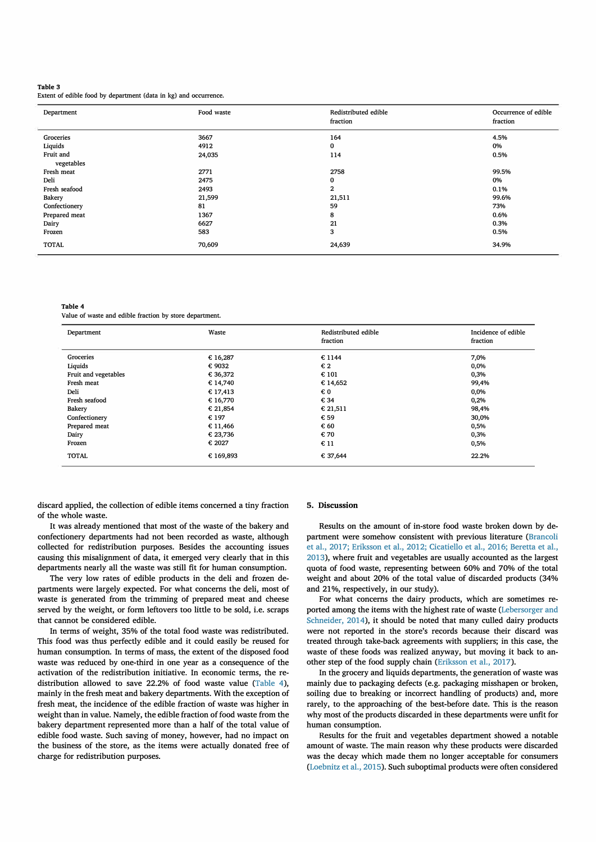### **Table 3**

**Extent of edible food by department ( data in kg) and occurrence.** 

| Department    | Food waste | Redistributed edible<br>fraction | Occurrence of edible<br>fraction |
|---------------|------------|----------------------------------|----------------------------------|
| Groceries     | 3667       | 164                              | 4.5%                             |
| Liquids       | 4912       | 0                                | 0%                               |
| Fruit and     | 24,035     | 114                              | 0.5%                             |
| vegetables    |            |                                  |                                  |
| Fresh meat    | 2771       | 2758                             | 99.5%                            |
| Deli          | 2475       | 0                                | 0%                               |
| Fresh seafood | 2493       | $\mathbf{2}$                     | 0.1%                             |
| <b>Bakery</b> | 21,599     | 21,511                           | 99.6%                            |
| Confectionery | 81         | 59                               | 73%                              |
| Prepared meat | 1367       | 8                                | 0.6%                             |
| Dairy         | 6627       | 21                               | 0.3%                             |
| Frozen        | 583        | 3                                | 0.5%                             |
| <b>TOTAL</b>  | 70,609     | 24,639                           | 34.9%                            |

**Table 4** 

**Value of waste and edible fraction by store department.** 

| Department           | Waste           | Redistributed edible<br>fraction | Incidence of edible<br>fraction |
|----------------------|-----------------|----------------------------------|---------------------------------|
| Groceries            | € 16,287        | €1144                            | 7,0%                            |
| Liquids              | € 9032          | € 2                              | 0,0%                            |
| Fruit and vegetables | € 36,372        | € 101                            | 0,3%                            |
| Fresh meat           | €14,740         | € 14,652                         | 99,4%                           |
| Deli                 | € 17,413        | € 0                              | 0,0%                            |
| Fresh seafood        | € 16,770        | € 34                             | 0,2%                            |
| <b>Bakery</b>        | € 21,854        | € 21,511                         | 98,4%                           |
| Confectionery        | € 197           | € 59                             | 30,0%                           |
| Prepared meat        | € 11,466        | € 60                             | 0,5%                            |
| Dairy                | € 23,736        | € 70                             | 0,3%                            |
| Frozen               | $\epsilon$ 2027 | $\epsilon$ 11                    | 0,5%                            |
| <b>TOTAL</b>         | € 169,893       | € 37,644                         | 22.2%                           |

discard applied, the collection of edible items concerned a tiny fraction of the whole waste.

It was already mentioned that most of the waste of the bakery and confectionery departments had not been recorded as waste, although collected for redistribution purposes. Besides the accounting issues causing this misalignment of data, it emerged very clearly that in this departments nearly ali the waste was still fit for human consumption.

The very low rates of edible products in the deli and frozen departments were largely expected. For what concerns the deli, most of waste is generated from the trimming of prepared meat and cheese served by the weight, or form leftovers too little to be sold, i.e. scraps that cannot be considered edible.

In terms of weight, 35% of the total food waste was redistributed. This food was thus perfectly edible and it could easily be reused for human consumption. In terms of mass, the extent of the disposed food waste was reduced by one-third in one year as a consequence of the activation of the redistribution initiative. In economic terms, the redistribution allowed to save 22.2% of food waste value (Table 4), mainly in the fresh meat and bakery departments. With the exception of fresh meat, the incidence of the edible fraction of waste was higher in weight than in value. Namely, the edible fraction of food waste from the bakery department represented more than a half of the total value of edible food waste. Such saving of money, however, had no impact on the business of the store, as the items were actually donated free of charge for redistribution purposes.

### **5. Discussion**

Results on the amount of in-store food waste broken down by department were somehow consistent with previous literature (Brancoli et al., 2017; Eriksson et al., 2012; Cicatiello et al., 2016; Beretta et al., 2013), where fruit and vegetables are usually accounted as the largest quota of food waste, representing between 60% and 70% of the tota! weight and about 20% of the total value of discarded products (34% and 21%, respectively, in our study).

For what concerns the dairy products, which are sometimes reported among the items with the highest rate of waste (Lebersorger and Schneider, 2014), it should be noted that many culled dairy products were not reported in the store's records because their discard was treated through take-back agreements with suppliers; in this case, the waste of these foods was realized anyway, but moving it back to another step of the food supply chain (Eriksson et al., 2017).

In the grocery and liquids departments, the generation of waste was mainly due to packaging defects (e.g. packaging misshapen or broken, soiling due to breaking or incorrect handling of products) and, more rarely, to the approaching of the best-before date. This is the reason why most of the products discarded in these departments were unfit for human consumption.

Results for the fruit and vegetables department showed a notable amount of waste. The main reason why these products were discarded was the decay which made them no longer acceptable for consumers (Loebnitz et al., 2015). Such suboptimal products were often considered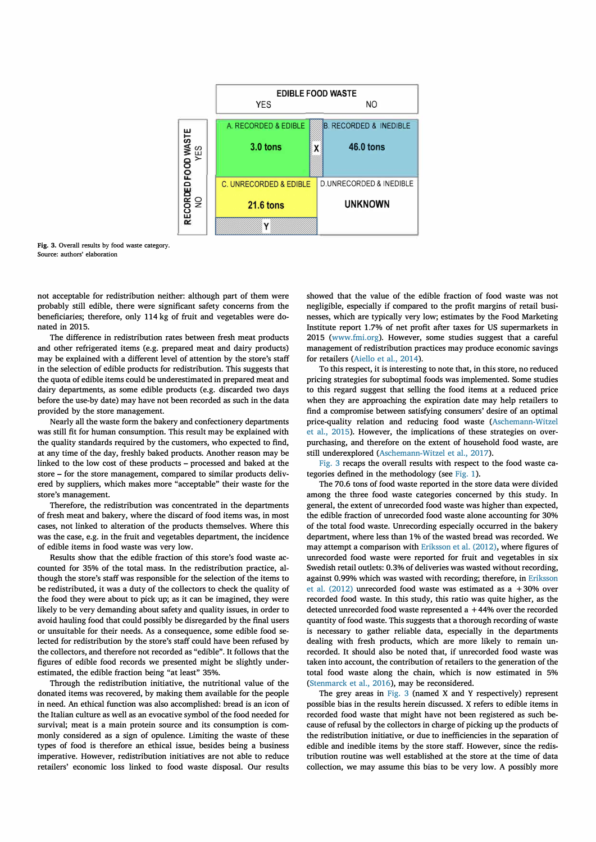

**Fig. 3. Overall results by food waste category.**  Source: authors' elaboration

not acceptable for redistribution neither: although part of them were probably still edible, there were significant safety concerns from the beneficiaries; therefore, only 114 kg of fruit and vegetables were donated in 2015.

The difference in redistribution rates between fresh meat products and other refrigerated items (e.g. prepared meat and dairy products) may be explained with a different level of attention by the store's staff in the selection of edible products for redistribution. This suggests that the quota of edible items could be underestimated in prepared meat and dairy departments, as some edible products (e.g. discarded two days before the use-by date) may have not been recorded as such in the data provided by the store management.

Nearly all the waste form the bakery and confectionery departments was still fit for human consumption. This result may be explained with the quality standards required by the customers, who expected to find, at any time of the day, freshly baked products. Another reason may be linked to the low cost of these products - processed and baked at the store - for the store management, compared to similar products delivered by suppliers, which makes more "acceptable" their waste for the store's management.

Therefore, the redistribution was concentrated in the departments of fresh meat and bakery, where the discard of food items was, in most cases, not linked to alteration of the products themselves. Where this was the case, e.g. in the fruit and vegetables department, the incidence of edible items in food waste was very low.

Results show that the edible fraction of this store's food waste accounted for 35% of the total mass. In the redistribution practiee, although the store's staff was responsible for the selection of the items to be redistributed, it was a duty of the collectors to check the quality of the food they were about to piek up; as it can be imagined, they were likely to be very demanding about safety and quality issues, in order to avoid hauling food that could possibly be disregarded by the final users or unsuitable for their needs. As a consequence, some edible food selected for redistribution by the store's staff could have been refused by the collectors, and therefore not recorded as "edible". It follows that the figures of edible food records we presented might be slightly underestimated, the edible fraction being "at least" 35%.

Through the redistribution initiative, the nutritional value of the donated items was recovered, by making them available for the people in need. An ethical function was also accomplished: bread is an icon of the Italian culture as well as an evocative symbol of the food needed for survival; meat is a main protein source and its consumption is commonly considered as a sign of opulence. Limiting the waste of these types of food is therefore an ethieal issue, besides being a business imperative. However, redistribution initiatives are not able to reduce retailers' economie loss linked to food waste disposal. Our results showed that the value of the edible fraction of food waste was not negligible, especially if compared to the profit margins of retail businesses, whieh are typically very low; estimates by the Food Marketing Institute report 1.7% of net profit after taxes for US supermarkets in 2015 (www.fmi.org). However, some studies suggest that a careful management of redistribution practices may produce economie savings for retailers (Aiello et al., 2014).

To this respect, it is interesting to note that, in this store, no reduced pricing strategies for suboptimal foods was implemented. Some studies to this regard suggest that selling the food items at a reduced price when they are approaching the expiration date may help retailers to find a compromise between satisfying consumers' desire of an optimal price-quality relation and reducing food waste (Aschemann-Witzel et al., 2015). However, the implications of these strategies on overpurchasing, and therefore on the extent of household food waste, are still underexplored (Aschemann-Witzel et al., 2017).

Fig. 3 recaps the overall results with respect to the food waste categories defined in the methodology (see Fig. 1).

The 70.6 tons of food waste reported in the store data were divided among the three food waste categories concerned by this study. In generai, the extent of unrecorded food waste was higher than expected, the edible fraction of unrecorded food waste alone accounting for 30% of the total food waste. Unrecording especially occurred in the bakery department, where less than 1% of the wasted bread was recorded. We may attempt a comparison with Eriksson et al. (2012), where figures of unrecorded food waste were reported for fruit and vegetables in six Swedish retail outlets: 0.3% of deliveries was wasted without recording, against 0.99% whieh was wasted with recording; therefore, in Eriksson et al. (2012) unrecorded food waste was estimated as a + 30% over recorded food waste. In this study, this ratio was quite higher, as the detected unrecorded food waste represented  $a + 44%$  over the recorded quantity of food waste. This suggests that a thorough recording of waste is necessary to gather reliable data, especially in the departments dealing with fresh products, whieh are more likely to remain unrecorded. It should also be noted that, if unrecorded food waste was taken into account, the contribution of retailers to the generation of the total food waste along the chain, which is now estimated in 5% (Stenmarck et al., 2016), may be reconsidered.

The grey areas in Fig. 3 (named X and Y respectively) represent possible bias in the results herein discussed. X refers to edible items in recorded food waste that might have not been registered as such because of refusal by the collectors in charge of pieking up the products of the redistribution initiative, or due to inefficiencies in the separation of edible and inedible items by the store staff. However, since the redistribution routine was well established at the store at the time of data collection, we may assume this bias to be very low. A possibly more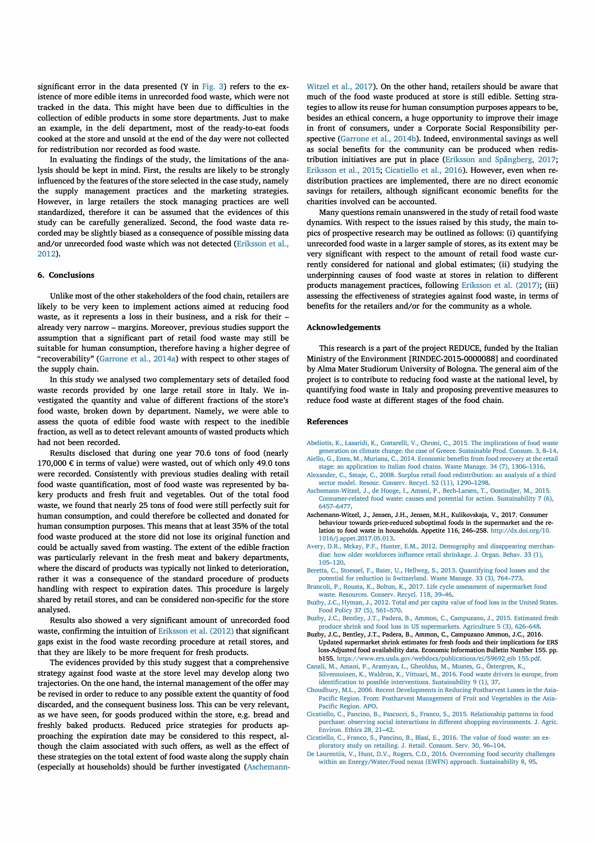significant error in the data presented  $(Y \text{ in Fig. 3})$  refers to the existence of more edible items in unrecorded food waste, which were not tracked in the data. This might have been due to difficulties in the collection of edible products in some store departments. Just to make an example, in the deli department, most of the ready-to-eat foods cooked at the store and unsold at the end of the day were not collected for redistribution nor recorded as food waste.

In evaluating the findings of the study, the limitations of the analysis should be kept in mind. First, the results are likely to be strongly influenced by the features of the store selected in the case study, namely the supply management practices and the marketing strategies. However, in large retailers the stock managing practices are well standardized, therefore it can be assumed that the evidences of this study can be carefully generalized. Second, the food waste data recorded may be slightly biased as a consequence of possible missing data and/or unrecorded food waste which was not detected (Eriksson et al., 2012).

### **6. Conclusions**

Unlike most of the other stakeholders of the food chain, retailers are likely to be very keen to implement actions aimed at reducing food waste, as it represents a loss in their business, and a risk for their already very narrow - margins. Moreover, previous studies support the assumption that a significant part of retail food waste may still be suitable for human consumption, therefore having a higher degree of "recoverability" (Garrone et al., 2014a) with respect to other stages of the supply chain.

In this study we analysed two complementary sets of detailed food waste records provided by one large retail store in Italy. We investigated the quantity and value of different fractions of the store's food waste, broken down by department. Namely, we were able to assess the quota of edible food waste with respect to the inedible fraction, as well as to detect relevant amounts of wasted products which had not been recorded.

Results disclosed that during one year 70.6 tons of food (nearly 170,000 € in terms of value) were wasted, out of which only 49.0 tons were recorded. Consistently with previous studies dealing with retail food waste quantification, most of food waste was represented by bakery products and fresh fruit and vegetables. Out of the total food waste, we found that nearly 25 tons of food were still perfectly suit for human consumption, and could therefore be collected and donated for human consumption purposes. This means that at least 35% of the total food waste produced at the store did not lose its original function and could be actually saved from wasting. The extent of the edible fraction was particularly relevant in the fresh meat and bakery departments, where the discard of products was typically not linked to deterioration, rather it was a consequence of the standard procedure of products handling with respect to expiration dates. This procedure is largely shared by retail stores, and can be considered non-specific for the store analysed.

Results also showed a very significant amount of unrecorded food waste, confirming the intuition of Eriksson et al. (2012) that significant gaps exist in the food waste recording procedure at retail stores, and that they are likely to be more frequent for fresh products.

The evidences provided by this study suggest that a comprehensive strategy against food waste at the store level may develop along two trajectories. On the one hand, the internal management of the offer may be revised in order to reduce to any possible extent the quantity of food discarded, and the consequent business loss. This can be very relevant, as we have seen, for goods produced within the store, e.g. bread and freshly baked products. Reduced price strategies for products approaching the expiration date may be considered to this respect, although the claim associated with such offers, as well as the effect of these strategies on the total extent of food waste along the supply chain (especially at households) should be further investigated (Aschemann-

Witzel et al., 2017). On the other hand, retailers should be aware that much of the food waste produced at store is still edible. Setting strategies to allow its reuse for human consumption purposes appears to be, besides an ethical concern, a huge opportunity to improve their image in front of consumers, under a Corporate Social Responsibility perspective (Garrone et al., 2014b). Indeed, environmental savings as well as social benefits for the community can be produced when redistribution initiatives are put in place (Eriksson and Spångberg, 2017; Eriksson et al., 2015; Cicatiello et al., 2016). However, even when redistribution practices are implemented, there are no direct economie savings for retailers, although significant economie benefits for the charities involved can be accounted.

Many questions remain unanswered in the study of retail food waste dynamics. With respect to the issues raised by this study, the main topics of prospective research may be outlined as follows: (i) quantifying unrecorded food waste in a larger sample of stores, as its extent may be very significant with respect to the amount of retail food waste currently considered for national and global estimates; (ii) studying the underpinning causes of food waste at stores in relation to different products management practices, following Eriksson et al. (2017); (iii) assessing the effectiveness of strategies against food waste, in terms of benefits for the retailers and/or for the community as a whole.

### **Acknowledgements**

This research is a part of the project REDUCE, funded by the Italian Ministry of the Environment [RINDEC-2015-0000088] and coordinated by Alma Mater Studiorum University of Bologna. The generai aim of the project is to contribute to reducing food waste at the national level, by quantifying food waste in Italy and proposing preventive measures to reduce food waste at different stages of the food chain.

### **References**

- Abeliotis, K., Lasaridi, K., Costarelli, V., Chroni, C., 2015. The implications of food waste **generation on climate change: the case of Greece. Sustainable Prod. Consum. 3, 8-14.**
- **Aiello, G., Enea, M., Muriana, C., 2014. Economie benefits from food recovery at the retail stage: an application to Italian food chains. Waste Manage. 34 (7), 1306-1316.**
- **Alexander, C., Smaje, C., 2008. Surplus retail food redistribution: an analysis of a third sector model. Resour. Conserv. Recycl. 52 (11), 1290-1298.**
- **Aschemann-Witzel, J., de Hooge, I., Amani, P., Bech-Larsen, T., Oostindjer, M., 2015. Consumer-related food waste: causes and potential for action. Sustainability 7 (6), 6457-6477.**
- **Aschemann-Witzel, J., Jensen, J.H., Jensen, M.H., Kulikovskaja, V., 2017. Consumer behaviour towards price-reduced suboptimal foods in the supermarket and the relation to food waste in households. Appetite 116, 246-258. http://dx.doi.org/10. 1016/j.appet.2017.05.013.**
- **Avery, D.R., Mckay, P.F., Hunter, E.M., 2012. Demography and disappearing merchandise: how older workforces influence retail shrinkage. J. Organ. Behav. 33 (1), 105-120.**
- **Beretta, C., Stoessel, F., Baier, U., Hellweg, S., 2013. Quantifying food losses and the potential for reduction in Switzerland. Waste Manage. 33 (3), 764-773.**
- **Brancoli, P., Rousta, K., Bolton, K., 2017. Llfe cycle assessment of supermarket food waste. Resources. Conserv. Recycl. 118, 39-46.**
- Buzby, J.C., Hyman, J., 2012. Total and per capita value of food loss in the United States. **Food Policy 37 (5), 561-570.**
- **Buzby, J.C., Bentley, J.T., Padera, B., Ammon, C., Campuzano, J., 2015. Estimated fresh produce shrink and food loss in US supermarkets. Agriculture 5 (3), 626-648.**
- **Buzby, J.C., Bentley, J.T., Padera, B., Ammon, C., Campuzano Ammon, J.C., 2016. Updated supermarket shrink estimates for fresh foods and their implications for ERS loss-Adjusted food availability data. Economie Information Bulletin Number 155. pp. b 155. https://www.ers.usda.gov/webdocs/publications/ ei/59692\_eib 155. pdf.**
- **Canali, M., Amani, P., Aramyan, L., Gheoldus, M., Moates, G., 6stergren, K., Silvennoinen, K., Waldron, K., Vittuari, M., 2016. Food waste drivers in europe, from identification to possible interventions. Sustainability 9 (1), 37.**
- **Choudhury, M.L., 2006. Recent Developments in Reducing Postharvest Losses in the Asia-Pacific Region. From: Postharvest Management of Fruit and Vegetables in the Asia-Pacific Region. APO.**
- **Cicatiello, C., Pancino, B., Pascucci, S., Franco, S., 2015. Relationship pattems in food purchase: observing social interactions in different shopping environments. J. Agric. Environ. Ethics 28, 21-42.**
- **Cicatiello, C., Franco, S., Pancino, B., Blasi, E., 2016. The value of food waste: an exploratory study on retailing. J. Retail. Consum. Serv. 30, 96-104.**
- **De Laurentiis, V., Hunt, D.V., Rogers, C.D., 2016. Overcoming food security challenges within an Energy/Water/Food nexus (EWFN) approach. Sustainability 8, 95.**